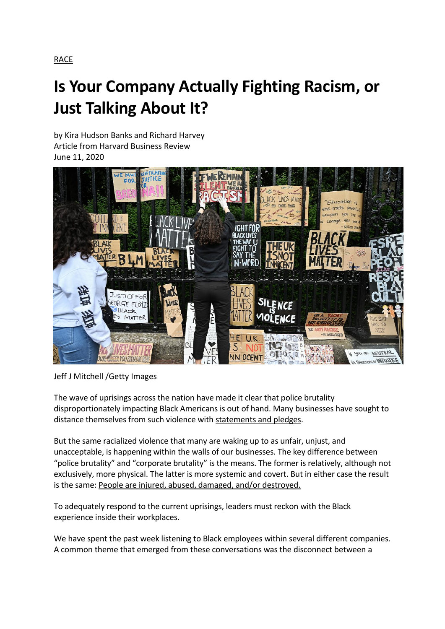# **Is Your Company Actually Fighting Racism, or Just Talking About It?**

by [Kira Hudson Banks](https://hbr.org/search?term=kira%20hudson%20banks) and [Richard Harvey](https://hbr.org/search?term=richard%20harvey) Article from Harvard Business Review June 11, 2020



Jeff J Mitchell /Getty Images

The wave of uprisings across the nation have made it clear that police brutality disproportionately impacting Black Americans is out of hand. Many businesses have sought to distance themselves from such violence with [statements and pledges.](https://hbr.org/2020/06/u-s-businesses-must-take-meaningful-action-against-racism)

But the same racialized violence that many are waking up to as unfair, unjust, and unacceptable, is happening within the walls of our businesses. The key difference between "police brutality" and "corporate brutality" is the means. The former is relatively, although not exclusively, more physical. The latter is more systemic and covert. But in either case the result is the same: [People are injured, abused, damaged, and/or destroyed.](https://www.merriam-webster.com/dictionary/violence)

To adequately respond to the current uprisings, leaders must reckon with the Black experience inside their workplaces.

We have spent the past week listening to Black employees within several different companies. A common theme that emerged from these conversations was the disconnect between a

[RACE](https://hbr.org/topic/race)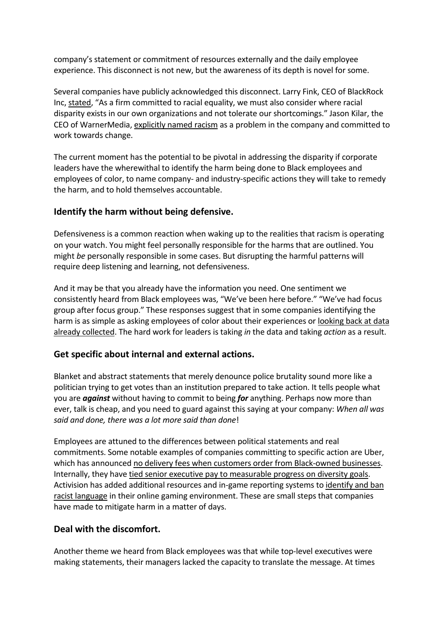company's statement or commitment of resources externally and the daily employee experience. This disconnect is not new, but the awareness of its depth is novel for some.

Several companies have publicly acknowledged this disconnect. Larry Fink, CEO of BlackRock Inc, [stated](https://www.forbes.com/sites/alexandrasternlicht/2020/06/01/we-must-do-more-what-ceos-like-tim-cook-jamie-dimon-larry-fink-say-about-racial-inequality-protests/#77a54cc85bc0), "As a firm committed to racial equality, we must also consider where racial disparity exists in our own organizations and not tolerate our shortcomings." Jason Kilar, the CEO of WarnerMedia, [explicitly named racism](https://www.thewrap.com/warnermedia-ceo-jason-kilar-tells-employees-racism-is-a-problem-for-company/) as a problem in the company and committed to work towards change.

The current moment has the potential to be pivotal in addressing the disparity if corporate leaders have the wherewithal to identify the harm being done to Black employees and employees of color, to name company- and industry-specific actions they will take to remedy the harm, and to hold themselves accountable.

## **Identify the harm without being defensive.**

Defensiveness is a common reaction when waking up to the realities that racism is operating on your watch. You might feel personally responsible for the harms that are outlined. You might *be* personally responsible in some cases. But disrupting the harmful patterns will require deep listening and learning, not defensiveness.

And it may be that you already have the information you need. One sentiment we consistently heard from Black employees was, "We've been here before." "We've had focus group after focus group." These responses suggest that in some companies identifying the harm is as simple as asking employees of color about their experiences or looking back at data [already collected.](https://hbr.org/2019/04/the-mistake-companies-make-when-they-use-data-to-plan-diversity-efforts) The hard work for leaders is taking *in* the data and taking *action* as a result.

#### **Get specific about internal and external actions.**

Blanket and abstract statements that merely denounce police brutality sound more like a politician trying to get votes than an institution prepared to take action. It tells people what you are *against* without having to commit to being *for* anything. Perhaps now more than ever, talk is cheap, and you need to guard against this saying at your company: *When all was said and done, there was a lot more said than done*!

Employees are attuned to the differences between political statements and real commitments. Some notable examples of companies committing to specific action are Uber, which has announced [no delivery fees when customers order from Black-owned businesses.](https://twitter.com/UberEats/status/1268643816292020224) Internally, they have [tied senior executive pay to measurable progress on diversity goals.](https://www.hrdive.com/news/uber-sets-diversity-goals-ties-executive-compensation-to-di-success/558935/) Activision has added additional resources and in-game reporting systems to [identify and ban](https://www.forbes.com/sites/erikkain/2020/06/05/black-lives-matter-message-added-to-call-of-duty-modern-warfare-and-warzone/#5f9ba23779ae)  [racist language](https://www.forbes.com/sites/erikkain/2020/06/05/black-lives-matter-message-added-to-call-of-duty-modern-warfare-and-warzone/#5f9ba23779ae) in their online gaming environment. These are small steps that companies have made to mitigate harm in a matter of days.

## **Deal with the discomfort.**

Another theme we heard from Black employees was that while top-level executives were making statements, their managers lacked the capacity to translate the message. At times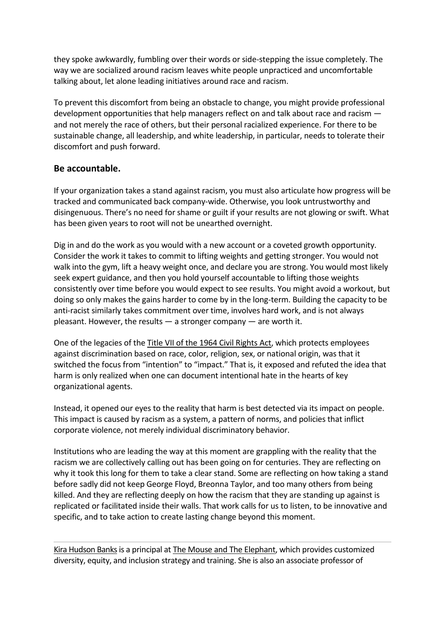they spoke awkwardly, fumbling over their words or side-stepping the issue completely. The way we are socialized around racism leaves white people unpracticed and uncomfortable talking about, let alone leading initiatives around race and racism.

To prevent this discomfort from being an obstacle to change, you might provide professional development opportunities that help managers reflect on and talk about race and racism and not merely the race of others, but their personal racialized experience. For there to be sustainable change, all leadership, and white leadership, in particular, needs to tolerate their discomfort and push forward.

### **Be accountable.**

If your organization takes a stand against racism, you must also articulate how progress will be tracked and communicated back company-wide. Otherwise, you look untrustworthy and disingenuous. There's no need for shame or guilt if your results are not glowing or swift. What has been given years to root will not be unearthed overnight.

Dig in and do the work as you would with a new account or a coveted growth opportunity. Consider the work it takes to commit to lifting weights and getting stronger. You would not walk into the gym, lift a heavy weight once, and declare you are strong. You would most likely seek expert guidance, and then you hold yourself accountable to lifting those weights consistently over time before you would expect to see results. You might avoid a workout, but doing so only makes the gains harder to come by in the long-term. Building the capacity to be anti-racist similarly takes commitment over time, involves hard work, and is not always pleasant. However, the results  $-$  a stronger company  $-$  are worth it.

One of the legacies of the [Title VII of the 1964 Civil Rights Act,](https://www.dol.gov/agencies/oasam/centers-offices/civil-rights-center/statutes/title-vii-civil-rights-act-of-1964) which protects employees against discrimination based on race, color, religion, sex, or national origin, was that it switched the focus from "intention" to "impact." That is, it exposed and refuted the idea that harm is only realized when one can document intentional hate in the hearts of key organizational agents.

Instead, it opened our eyes to the reality that harm is best detected via its impact on people. This impact is caused by racism as a system, a pattern of norms, and policies that inflict corporate violence, not merely individual discriminatory behavior.

Institutions who are leading the way at this moment are grappling with the reality that the racism we are collectively calling out has been going on for centuries. They are reflecting on why it took this long for them to take a clear stand. Some are reflecting on how taking a stand before sadly did not keep George Floyd, Breonna Taylor, and too many others from being killed. And they are reflecting deeply on how the racism that they are standing up against is replicated or facilitated inside their walls. That work calls for us to listen, to be innovative and specific, and to take action to create lasting change beyond this moment.

[Kira Hudson Banks](https://hbr.org/search?term=kira%20hudson%20banks&search_type=search-all)is a principal at [The Mouse and The Elephant,](http://mouseandelephant.com/) which provides customized diversity, equity, and inclusion strategy and training. She is also an associate professor of